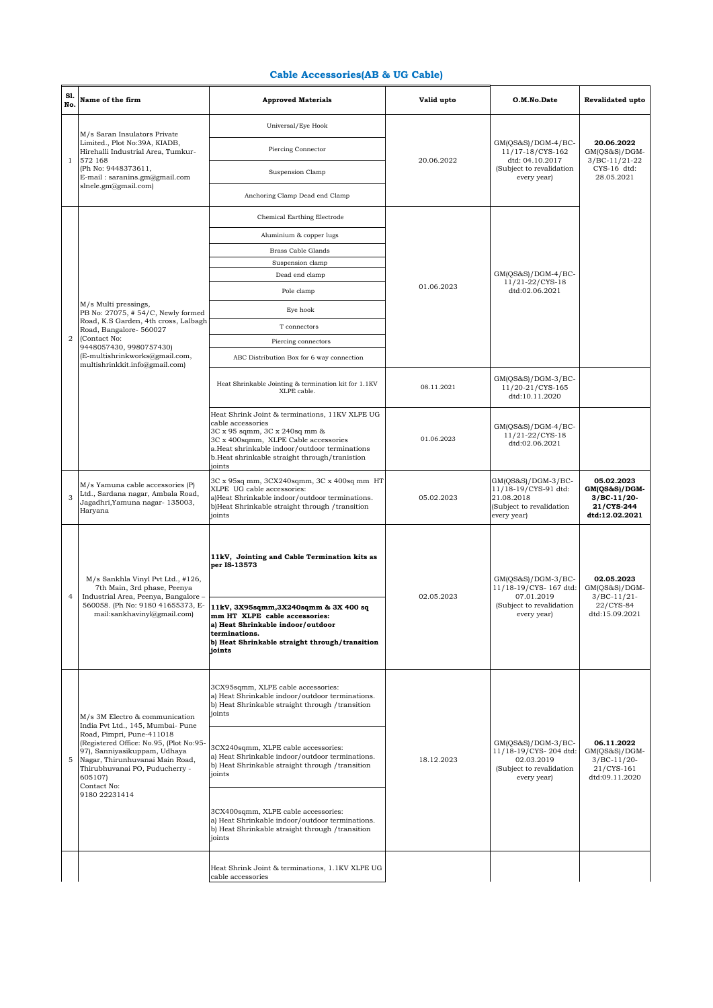## **Cable Accessories(AB & UG Cable)**

| S1.<br>No.     | Name of the firm                                                                                                                                                                                                                                                                            | <b>Approved Materials</b>                                                                                                                                                                                                                                | Valid upto | O.M.No.Date                                                                                          | <b>Revalidated upto</b>                                                       |
|----------------|---------------------------------------------------------------------------------------------------------------------------------------------------------------------------------------------------------------------------------------------------------------------------------------------|----------------------------------------------------------------------------------------------------------------------------------------------------------------------------------------------------------------------------------------------------------|------------|------------------------------------------------------------------------------------------------------|-------------------------------------------------------------------------------|
|                | M/s Saran Insulators Private<br>Limited., Plot No:39A, KIADB,<br>Hirehalli Industrial Area, Tumkur-<br>572 168<br>(Ph No: 9448373611,<br>$E$ -mail: saranins.gm@gmail.com<br>slnele.gm@gmail.com)                                                                                           | Universal/Eye Hook                                                                                                                                                                                                                                       | 20.06.2022 | GM(QS&S)/DGM-4/BC-<br>11/17-18/CYS-162<br>dtd: 04.10.2017<br>(Subject to revalidation<br>every year) | 20.06.2022<br>$GM(QS&S)/DGM-$<br>$3/BC-11/21-22$<br>CYS-16 dtd:<br>28.05.2021 |
| $\mathbf{1}$   |                                                                                                                                                                                                                                                                                             | Piercing Connector                                                                                                                                                                                                                                       |            |                                                                                                      |                                                                               |
|                |                                                                                                                                                                                                                                                                                             | Suspension Clamp                                                                                                                                                                                                                                         |            |                                                                                                      |                                                                               |
|                |                                                                                                                                                                                                                                                                                             | Anchoring Clamp Dead end Clamp                                                                                                                                                                                                                           |            |                                                                                                      |                                                                               |
|                |                                                                                                                                                                                                                                                                                             | Chemical Earthing Electrode                                                                                                                                                                                                                              |            |                                                                                                      |                                                                               |
|                |                                                                                                                                                                                                                                                                                             | Aluminium & copper lugs                                                                                                                                                                                                                                  |            |                                                                                                      |                                                                               |
|                |                                                                                                                                                                                                                                                                                             | <b>Brass Cable Glands</b>                                                                                                                                                                                                                                |            |                                                                                                      |                                                                               |
|                |                                                                                                                                                                                                                                                                                             | Suspension clamp                                                                                                                                                                                                                                         |            |                                                                                                      |                                                                               |
|                |                                                                                                                                                                                                                                                                                             | Dead end clamp                                                                                                                                                                                                                                           |            | $GM(QS&S)/DGM-4/BC-$<br>11/21-22/CYS-18                                                              |                                                                               |
|                |                                                                                                                                                                                                                                                                                             | Pole clamp                                                                                                                                                                                                                                               | 01.06.2023 | dtd:02.06.2021                                                                                       |                                                                               |
|                | M/s Multi pressings,<br>PB No: 27075, #54/C, Newly formed                                                                                                                                                                                                                                   | Eye hook                                                                                                                                                                                                                                                 |            |                                                                                                      |                                                                               |
|                | Road, K.S Garden, 4th cross, Lalbagh<br>Road, Bangalore-560027                                                                                                                                                                                                                              | T connectors                                                                                                                                                                                                                                             |            |                                                                                                      |                                                                               |
| $\overline{2}$ | (Contact No:                                                                                                                                                                                                                                                                                | Piercing connectors                                                                                                                                                                                                                                      |            |                                                                                                      |                                                                               |
|                | 9448057430, 9980757430)<br>(E-multishrinkworks@gmail.com,                                                                                                                                                                                                                                   | ABC Distribution Box for 6 way connection                                                                                                                                                                                                                |            |                                                                                                      |                                                                               |
|                | multishrinkkit.info@gmail.com)                                                                                                                                                                                                                                                              | Heat Shrinkable Jointing & termination kit for 1.1KV<br>XLPE cable.                                                                                                                                                                                      | 08.11.2021 | GM(QS&S)/DGM-3/BC-<br>11/20-21/CYS-165<br>dtd:10.11.2020                                             |                                                                               |
|                |                                                                                                                                                                                                                                                                                             | Heat Shrink Joint & terminations, 11KV XLPE UG<br>cable accessories<br>3C x 95 sqmm, 3C x 240sq mm &<br>3C x 400sqmm, XLPE Cable accessories<br>a.Heat shrinkable indoor/outdoor terminations<br>b.Heat shrinkable straight through/tranistion<br>joints | 01.06.2023 | $GM(QS&S)/DGM-4/BC-$<br>11/21-22/CYS-18<br>dtd:02.06.2021                                            |                                                                               |
| 3              | M/s Yamuna cable accessories (P)<br>Ltd., Sardana nagar, Ambala Road,<br>Jagadhri, Yamuna nagar- 135003,<br>Haryana                                                                                                                                                                         | 3C x 95sq mm, 3CX240sqmm, 3C x 400sq mm HT<br>XLPE UG cable accessories:<br>a)Heat Shrinkable indoor/outdoor terminations.<br>b)Heat Shrinkable straight through / transition<br>joints                                                                  | 05.02.2023 | GM(QS&S)/DGM-3/BC-<br>11/18-19/CYS-91 dtd:<br>21.08.2018<br>(Subject to revalidation<br>every year)  | 05.02.2023<br>GM(QS&S)/DGM-<br>$3/BC-11/20-$<br>21/CYS-244<br>dtd:12.02.2021  |
| $\overline{4}$ | M/s Sankhla Vinyl Pvt Ltd., #126,<br>7th Main, 3rd phase, Peenya<br>Industrial Area, Peenya, Bangalore -<br>560058. (Ph No: 9180 41655373, E-<br>mail:sankhavinyl@gmail.com)                                                                                                                | 11kV, Jointing and Cable Termination kits as<br>per IS-13573<br>11kV, 3X95sqmm, 3X240sqmm & 3X 400 sq<br>mm HT XLPE cable accessories:                                                                                                                   | 02.05.2023 | GM(QS&S)/DGM-3/BC-<br>11/18-19/CYS-167 dtd:<br>07.01.2019<br>(Subject to revalidation<br>every year) | 02.05.2023<br>$GM(QS&S)/DGM-$<br>$3/BC-11/21-$<br>22/CYS-84<br>dtd:15.09.2021 |
|                |                                                                                                                                                                                                                                                                                             | a) Heat Shrinkable indoor/outdoor<br>terminations.<br>b) Heat Shrinkable straight through/transition<br>joints                                                                                                                                           |            |                                                                                                      |                                                                               |
| 5              | M/s 3M Electro & communication<br>India Pvt Ltd., 145, Mumbai- Pune<br>Road, Pimpri, Pune-411018<br>(Registered Office: No.95, (Plot No:95-<br>97), Sanniyasikuppam, Udhaya<br>Nagar, Thirunhuvanai Main Road,<br>Thirubhuvanai PO, Puducherry -<br>605107)<br>Contact No:<br>9180 22231414 | 3CX95sqmm, XLPE cable accessories:<br>a) Heat Shrinkable indoor/outdoor terminations.<br>b) Heat Shrinkable straight through /transition<br>joints                                                                                                       | 18.12.2023 | GM(QS&S)/DGM-3/BC-<br>11/18-19/CYS-204 dtd:<br>02.03.2019<br>(Subject to revalidation<br>every year) | 06.11.2022<br>GM(OS&S)/DGM-<br>$3/BC-11/20-$<br>21/CYS-161<br>dtd:09.11.2020  |
|                |                                                                                                                                                                                                                                                                                             | 3CX240sqmm, XLPE cable accessories:<br>a) Heat Shrinkable indoor/outdoor terminations.<br>b) Heat Shrinkable straight through /transition<br>joints                                                                                                      |            |                                                                                                      |                                                                               |
|                |                                                                                                                                                                                                                                                                                             | 3CX400sqmm, XLPE cable accessories:<br>a) Heat Shrinkable indoor/outdoor terminations.<br>b) Heat Shrinkable straight through /transition<br>joints                                                                                                      |            |                                                                                                      |                                                                               |
|                |                                                                                                                                                                                                                                                                                             | Heat Shrink Joint & terminations, 1.1KV XLPE UG<br>cable accessories                                                                                                                                                                                     |            |                                                                                                      |                                                                               |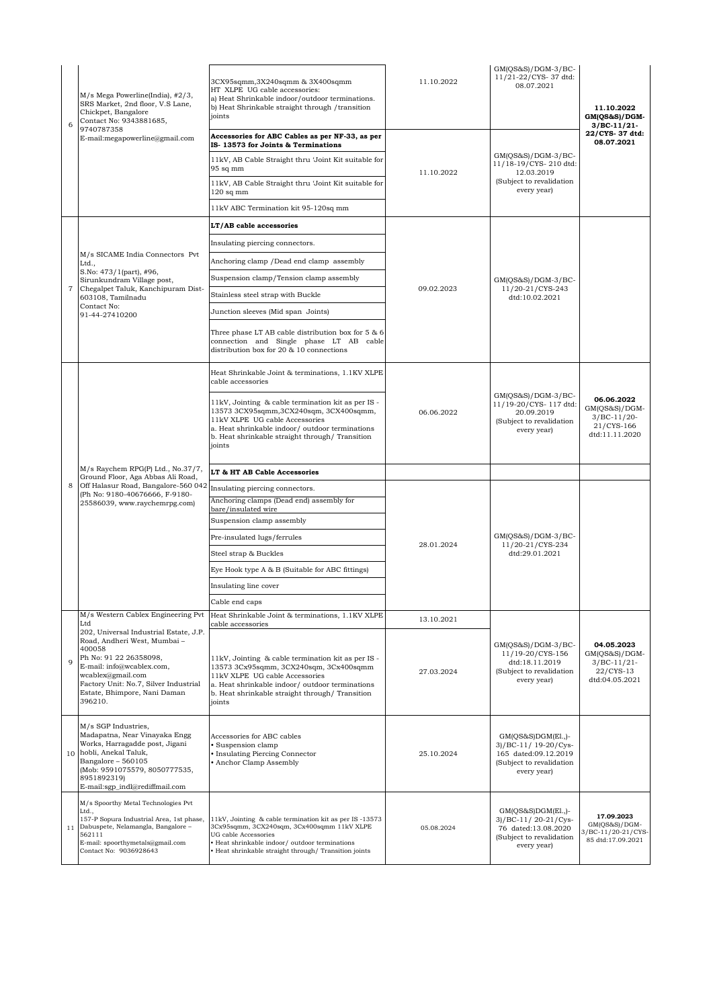| 6 | M/s Mega Powerline(India), #2/3,<br>SRS Market, 2nd floor, V.S Lane,<br>Chickpet, Bangalore<br>Contact No: 9343881685,<br>9740787358<br>E-mail:megapowerline@gmail.com                                                                           | 3CX95sqmm,3X240sqmm & 3X400sqmm<br>HT XLPE UG cable accessories:<br>a) Heat Shrinkable indoor/outdoor terminations.<br>b) Heat Shrinkable straight through /transition<br>ioints                                                               | 11.10.2022 | GM(QS&S)/DGM-3/BC-<br>11/21-22/CYS-37 dtd:<br>08.07.2021                                                        | 11.10.2022<br>GM(QS&S)/DGM-<br>$3/BC-11/21$                                    |
|---|--------------------------------------------------------------------------------------------------------------------------------------------------------------------------------------------------------------------------------------------------|------------------------------------------------------------------------------------------------------------------------------------------------------------------------------------------------------------------------------------------------|------------|-----------------------------------------------------------------------------------------------------------------|--------------------------------------------------------------------------------|
|   |                                                                                                                                                                                                                                                  | Accessories for ABC Cables as per NF-33, as per<br>IS-13573 for Joints & Terminations                                                                                                                                                          | 11.10.2022 | GM(QS&S)/DGM-3/BC-<br>11/18-19/CYS-210 dtd:<br>12.03.2019                                                       | 22/CYS-37 dtd:<br>08.07.2021                                                   |
|   |                                                                                                                                                                                                                                                  | 11kV, AB Cable Straight thru 'Joint Kit suitable for<br>$95$ sq mm                                                                                                                                                                             |            |                                                                                                                 |                                                                                |
|   |                                                                                                                                                                                                                                                  | 11kV, AB Cable Straight thru 'Joint Kit suitable for<br>$120$ sq mm                                                                                                                                                                            |            | (Subject to revalidation<br>every year)                                                                         |                                                                                |
|   |                                                                                                                                                                                                                                                  | 11kV ABC Termination kit 95-120sq mm                                                                                                                                                                                                           |            |                                                                                                                 |                                                                                |
|   | M/s SICAME India Connectors Pvt<br>Ltd.,<br>S.No: 473/1(part), #96,<br>Sirunkundram Village post,                                                                                                                                                | LT/AB cable accessories                                                                                                                                                                                                                        | 09.02.2023 | $GM(QS&S)/DGM-3/BC-$<br>11/20-21/CYS-243<br>dtd:10.02.2021                                                      |                                                                                |
|   |                                                                                                                                                                                                                                                  | Insulating piercing connectors.                                                                                                                                                                                                                |            |                                                                                                                 |                                                                                |
|   |                                                                                                                                                                                                                                                  | Anchoring clamp / Dead end clamp assembly                                                                                                                                                                                                      |            |                                                                                                                 |                                                                                |
|   |                                                                                                                                                                                                                                                  | Suspension clamp/Tension clamp assembly                                                                                                                                                                                                        |            |                                                                                                                 |                                                                                |
| 7 | Chegalpet Taluk, Kanchipuram Dist-<br>603108, Tamilnadu                                                                                                                                                                                          | Stainless steel strap with Buckle                                                                                                                                                                                                              |            |                                                                                                                 |                                                                                |
|   | Contact No:<br>91-44-27410200                                                                                                                                                                                                                    | Junction sleeves (Mid span Joints)                                                                                                                                                                                                             |            |                                                                                                                 |                                                                                |
|   |                                                                                                                                                                                                                                                  | Three phase LT AB cable distribution box for 5 & 6<br>connection and Single phase LT AB cable<br>distribution box for 20 & 10 connections                                                                                                      |            |                                                                                                                 |                                                                                |
|   |                                                                                                                                                                                                                                                  | Heat Shrinkable Joint & terminations, 1.1KV XLPE<br>cable accessories                                                                                                                                                                          | 06.06.2022 | GM(OS&S)/DGM-3/BC-<br>11/19-20/CYS-117 dtd:<br>20.09.2019<br>(Subject to revalidation<br>every year)            |                                                                                |
| 8 | M/s Raychem RPG(P) Ltd., No.37/7,                                                                                                                                                                                                                | 11kV, Jointing & cable termination kit as per IS -<br>13573 3CX95sqmm, 3CX240sqm, 3CX400sqmm,<br>11kV XLPE UG cable Accessories<br>a. Heat shrinkable indoor/ outdoor terminations<br>b. Heat shrinkable straight through/Transition<br>joints |            |                                                                                                                 | 06.06.2022<br>$GM(QS&S)/DGM-$<br>$3/BC-11/20-$<br>21/CYS-166<br>dtd:11.11.2020 |
|   |                                                                                                                                                                                                                                                  | LT & HT AB Cable Accessories                                                                                                                                                                                                                   |            |                                                                                                                 |                                                                                |
|   |                                                                                                                                                                                                                                                  |                                                                                                                                                                                                                                                |            |                                                                                                                 |                                                                                |
|   | Ground Floor, Aga Abbas Ali Road,<br>Off Halasur Road, Bangalore-560 042                                                                                                                                                                         | Insulating piercing connectors.                                                                                                                                                                                                                |            |                                                                                                                 |                                                                                |
|   | (Ph No: 9180-40676666, F-9180-<br>25586039, www.raychemrpg.com)                                                                                                                                                                                  | Anchoring clamps (Dead end) assembly for<br>bare/insulated wire                                                                                                                                                                                |            |                                                                                                                 |                                                                                |
|   |                                                                                                                                                                                                                                                  | Suspension clamp assembly                                                                                                                                                                                                                      |            |                                                                                                                 |                                                                                |
|   |                                                                                                                                                                                                                                                  | Pre-insulated lugs/ferrules                                                                                                                                                                                                                    |            | $GM(QS&S)/DGM-3/BC-$                                                                                            |                                                                                |
|   |                                                                                                                                                                                                                                                  | Steel strap & Buckles                                                                                                                                                                                                                          | 28.01.2024 | 11/20-21/CYS-234<br>dtd:29.01.2021                                                                              |                                                                                |
|   |                                                                                                                                                                                                                                                  | Eye Hook type A & B (Suitable for ABC fittings)                                                                                                                                                                                                |            |                                                                                                                 |                                                                                |
|   |                                                                                                                                                                                                                                                  | Insulating line cover                                                                                                                                                                                                                          |            |                                                                                                                 |                                                                                |
|   |                                                                                                                                                                                                                                                  | Cable end caps                                                                                                                                                                                                                                 |            |                                                                                                                 |                                                                                |
|   | M/s Western Cablex Engineering Pvt<br>Ltd                                                                                                                                                                                                        | Heat Shrinkable Joint & terminations, 1.1KV XLPE<br>cable accessories                                                                                                                                                                          | 13.10.2021 |                                                                                                                 |                                                                                |
| 9 | 202, Universal Industrial Estate, J.P.<br>Road, Andheri West, Mumbai -<br>400058<br>Ph No: 91 22 26358098,<br>E-mail: info@wcablex.com,<br>wcablex@gmail.com<br>Factory Unit: No.7, Silver Industrial<br>Estate, Bhimpore, Nani Daman<br>396210. | 11kV, Jointing & cable termination kit as per IS -<br>13573 3Cx95sqmm, 3CX240sqm, 3Cx400sqmm<br>11kV XLPE UG cable Accessories<br>a. Heat shrinkable indoor/outdoor terminations<br>b. Heat shrinkable straight through/Transition<br>joints   | 27.03.2024 | GM(QS&S)/DGM-3/BC-<br>11/19-20/CYS-156<br>dtd:18.11.2019<br>(Subject to revalidation<br>every year)             | 04.05.2023<br>$GM(QS&S)/DGM$ -<br>$3/BC-11/21-$<br>22/CYS-13<br>dtd:04.05.2021 |
|   | M/s SGP Industries,<br>Madapatna, Near Vinayaka Engg<br>Works, Harragadde post, Jigani<br>10 hobli, Anekal Taluk,<br>Bangalore - 560105<br>(Mob: 9591075579, 8050777535,<br>8951892319)<br>E-mail:sgp_indl@rediffmail.com                        | Accessories for ABC cables<br>· Suspension clamp<br>• Insulating Piercing Connector<br>• Anchor Clamp Assembly                                                                                                                                 | 25.10.2024 | $GM(QS&S)DGM(E1.)$ -<br>3)/BC-11/ 19-20/Cys-<br>165 dated:09.12.2019<br>(Subject to revalidation<br>every year) |                                                                                |